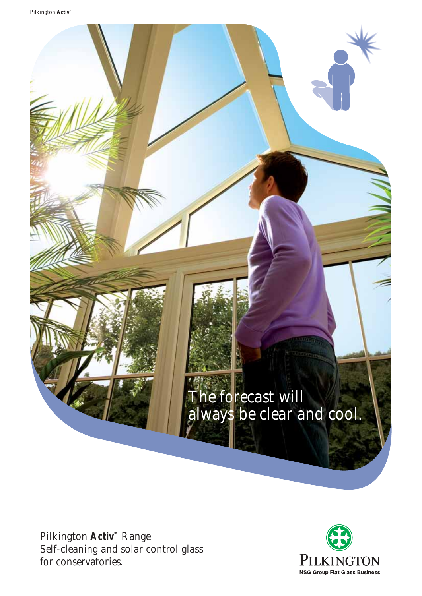The forecast will always be clear and cool.

Pilkington **Activ™** Range Self-cleaning and solar control glass for conservatories.

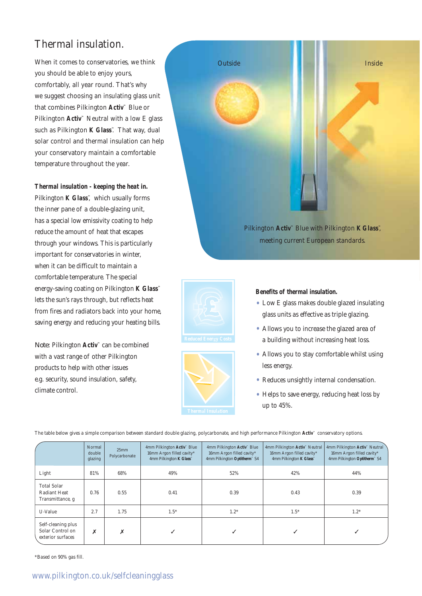# Thermal insulation.

When it comes to conservatories, we think you should be able to enjoy yours, comfortably, all year round. That's why we suggest choosing an insulating glass unit that combines Pilkington **Activ™** Blue or Pilkington **Activ**<sup>™</sup> Neutral with a low E glass such as Pilkington **K Glass™**. That way, dual solar control and thermal insulation can help your conservatory maintain a comfortable temperature throughout the year.

**Thermal insulation - keeping the heat in.** Pilkington **K Glass**™, which usually forms the inner pane of a double-glazing unit, has a special low emissivity coating to help reduce the amount of heat that escapes through your windows. This is particularly important for conservatories in winter, when it can be difficult to maintain a comfortable temperature. The special energy-saving coating on Pilkington **K Glass™** lets the sun's rays through, but reflects heat from fires and radiators back into your home, saving energy and reducing your heating bills.

*Note:* Pilkington **Activ™** can be combined with a vast range of other Pilkington products to help with other issues e.g. security, sound insulation, safety, climate control.







#### **Benefits of thermal insulation.**

- Low E glass makes double glazed insulating glass units as effective as triple glazing.
- Allows you to increase the glazed area of a building without increasing heat loss.
- Allows you to stay comfortable whilst using less energy.
- Reduces unsightly internal condensation.
- Helps to save energy, reducing heat loss by up to 45%.

The table below gives a simple comparison between standard double glazing, polycarbonate, and high performance Pilkington **Activ™** conservatory options.

|                                                               | Normal<br>double<br>glazing | 25mm<br>Polycarbonate | 4mm Pilkington Activ™ Blue<br>16mm Argon filled cavity*<br>4mm Pilkington <b>K Glass</b> <sup>34</sup> | 4mm Pilkington $\text{Activ}^{\sim}$ Blue<br>16mm Argon filled cavity*<br>4mm Pilkington Optitherm <sup>®</sup> S4 | 4mm Pilkington Activ <sup>™</sup> Neutral<br>16mm Argon filled cavity*<br>4mm Pilkington <b>K Glass</b> <sup>™</sup> | 4mm Pilkington Activ <sup>®</sup> Neutral<br>16mm Argon filled cavity*<br>4mm Pilkington Optitherm <sup>®</sup> S4 |
|---------------------------------------------------------------|-----------------------------|-----------------------|--------------------------------------------------------------------------------------------------------|--------------------------------------------------------------------------------------------------------------------|----------------------------------------------------------------------------------------------------------------------|--------------------------------------------------------------------------------------------------------------------|
| Light                                                         | 81%                         | 68%                   | 49%                                                                                                    | 52%                                                                                                                | 42%                                                                                                                  | 44%                                                                                                                |
| <b>Total Solar</b><br><b>Radiant Heat</b><br>Transmittance, g | 0.76                        | 0.55                  | 0.41                                                                                                   | 0.39                                                                                                               | 0.43                                                                                                                 | 0.39                                                                                                               |
| U-Value                                                       | 2.7                         | 1.75                  | $1.5*$                                                                                                 | $1.2*$                                                                                                             | $1.5*$                                                                                                               | $1.2*$                                                                                                             |
| Self-cleaning plus<br>Solar Control on<br>exterior surfaces   | X                           | X                     |                                                                                                        |                                                                                                                    |                                                                                                                      |                                                                                                                    |

\*Based on 90% gas fill.

### www.pilkington.co.uk/selfcleaningglass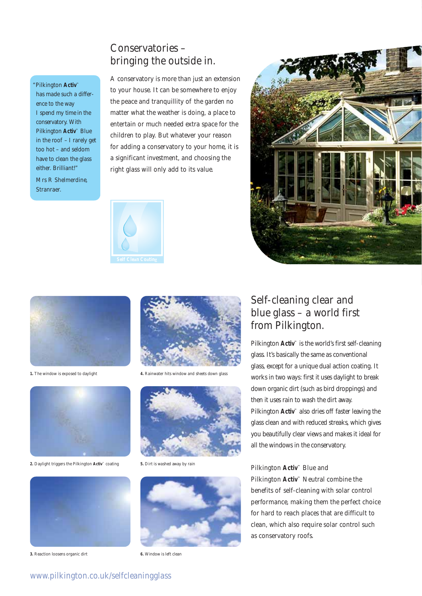### Conservatories – bringing the outside in.

"Pilkington **Activ™**

has made such a difference to the way I spend my time in the conservatory. With Pilkington **Activ™** Blue in the roof – I rarely get too hot – and seldom have to clean the glass either. Brilliant!"

Mrs R Shelmerdine, Stranraer.

A conservatory is more than just an extension to your house. It can be somewhere to enjoy the peace and tranquillity of the garden no matter what the weather is doing, a place to entertain or much needed extra space for the children to play. But whatever your reason for adding a conservatory to your home, it is a significant investment, and choosing the right glass will only add to its value.







**1.** The window is exposed to daylight **4.** Rainwater hits window and sheets down glass



**2.** Daylight triggers the Pilkington **Activ™** coating **5.** Dirt is washed away by rain



**3.** Reaction loosens organic dirt **6.** Window is left clean







# Self-cleaning clear and blue glass – a world first from Pilkington.

Pilkington **Activ™** is the world's first self-cleaning glass. It's basically the same as conventional glass, except for a unique dual action coating. It works in two ways: first it uses daylight to break down organic dirt (such as bird droppings) and then it uses rain to wash the dirt away. Pilkington **Activ™** also dries off faster leaving the glass clean and with reduced streaks, which gives you beautifully clear views and makes it ideal for all the windows in the conservatory.

Pilkington **Activ™** Blue and Pilkington **Activ™** Neutral combine the benefits of self-cleaning with solar control performance, making them the perfect choice for hard to reach places that are difficult to clean, which also require solar control such as conservatory roofs.

### www.pilkington.co.uk/selfcleaningglass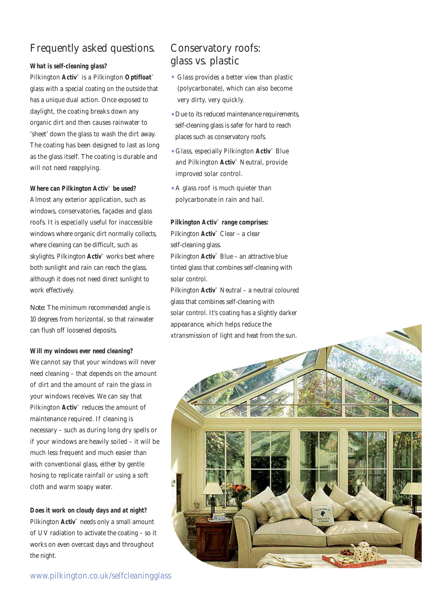# Frequently asked questions.

### **What is self-cleaning glass?**

Pilkington **Activ™** is a Pilkington **Optifloat™** glass with a special coating on the outside that has a unique dual action. Once exposed to daylight, the coating breaks down any organic dirt and then causes rainwater to 'sheet' down the glass to wash the dirt away. The coating has been designed to last as long as the glass itself. The coating is durable and will not need reapplying.

#### **Where can Pilkington Activ™ be used?**

Almost any exterior application, such as windows, conservatories, façades and glass roofs. It is especially useful for inaccessible windows where organic dirt normally collects, where cleaning can be difficult, such as skylights. Pilkington **Activ™** works best where both sunlight and rain can reach the glass, although it does not need direct sunlight to work effectively.

*Note:* The minimum recommended angle is 10 degrees from horizontal, so that rainwater can flush off loosened deposits.

#### **Will my windows ever need cleaning?**

We cannot say that your windows will never need cleaning – that depends on the amount of dirt and the amount of rain the glass in your windows receives. We can say that Pilkington **Activ™** reduces the amount of maintenance required. If cleaning is necessary – such as during long dry spells or if your windows are heavily soiled – it will be much less frequent and much easier than with conventional glass, either by gentle hosing to replicate rainfall or using a soft cloth and warm soapy water.

**Does it work on cloudy days and at night?** Pilkington **Activ**<sup>™</sup> needs only a small amount of UV radiation to activate the coating – so it works on even overcast days and throughout the night.

# Conservatory roofs: glass vs. plastic

- Glass provides a better view than plastic (polycarbonate), which can also become very dirty, very quickly.
- Due to its reduced maintenance requirements, self-cleaning glass is safer for hard to reach places such as conservatory roofs.
- Glass, especially Pilkington **Activ™** Blue and Pilkington **Activ™** Neutral, provide improved solar control.
- A glass roof is much quieter than polycarbonate in rain and hail.

#### **Pilkington Activ™ range comprises:**

Pilkington **Activ™** Clear – a clear self-cleaning glass. Pilkington **Activ™** Blue – an attractive blue tinted glass that combines self-cleaning with solar control.

Pilkington **Activ™** Neutral – a neutral coloured glass that combines self-cleaning with solar control. It's coating has a slightly darker appearance, which helps reduce the xtransmission of light and heat from the sun.

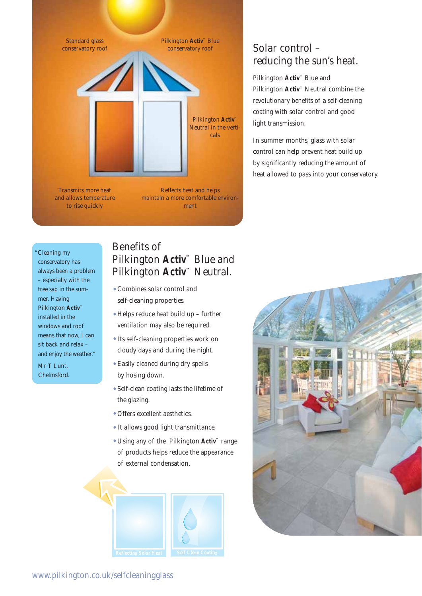

and allows temperature to rise quickly

maintain a more comfortable environment

"Cleaning my conservatory has always been a problem – especially with the tree sap in the summer. Having Pilkington **Activ™** installed in the windows and roof means that now, I can sit back and relax – and enjoy the weather."

Mr T Lunt, Chelmsford.

# Benefits of Pilkington **Activ™** Blue and Pilkington **Activ<sup>™</sup> Neutral.**

- Combines solar control and self-cleaning properties.
- Helps reduce heat build up further ventilation may also be required.
- Its self-cleaning properties work on cloudy days and during the night.
- Easily cleaned during dry spells by hosing down.
- Self-clean coating lasts the lifetime of the glazing.
- Offers excellent aesthetics.
- It allows good light transmittance.
- Using any of the Pilkington **Activ™** range of products helps reduce the appearance of external condensation.



### Solar control – reducing the sun's heat.

Pilkington **Activ™** Blue and Pilkington **Activ™** Neutral combine the revolutionary benefits of a self-cleaning coating with solar control and good light transmission.

In summer months, glass with solar control can help prevent heat build up by significantly reducing the amount of heat allowed to pass into your conservatory.



www.pilkington.co.uk/selfcleaningglass